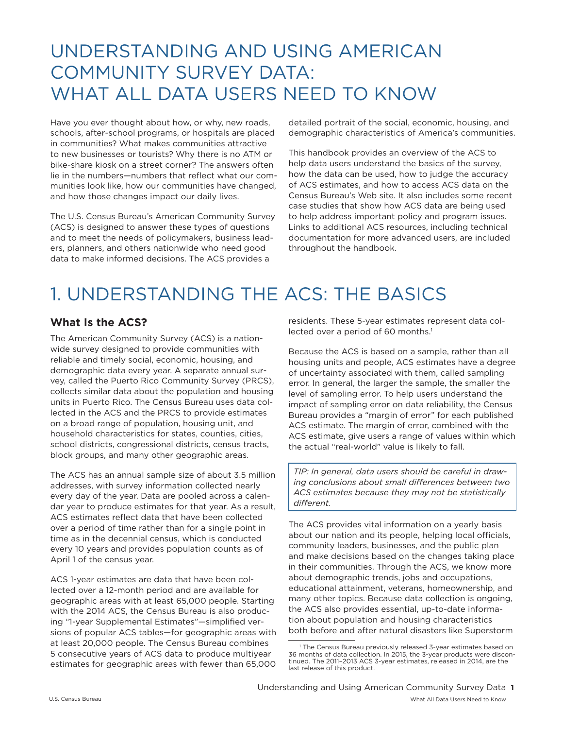## UNDERSTANDING AND USING AMERICAN COMMUNITY SURVEY DATA: WHAT ALL DATA USERS NEED TO KNOW

Have you ever thought about how, or why, new roads, schools, after-school programs, or hospitals are placed in communities? What makes communities attractive to new businesses or tourists? Why there is no ATM or bike-share kiosk on a street corner? The answers often lie in the numbers—numbers that reflect what our communities look like, how our communities have changed, and how those changes impact our daily lives.

The U.S. Census Bureau's American Community Survey (ACS) is designed to answer these types of questions and to meet the needs of policymakers, business leaders, planners, and others nationwide who need good data to make informed decisions. The ACS provides a

detailed portrait of the social, economic, housing, and demographic characteristics of America's communities.

This handbook provides an overview of the ACS to help data users understand the basics of the survey, how the data can be used, how to judge the accuracy of ACS estimates, and how to access ACS data on the Census Bureau's Web site. It also includes some recent case studies that show how ACS data are being used to help address important policy and program issues. Links to additional ACS resources, including technical documentation for more advanced users, are included throughout the handbook.

# 1. UNDERSTANDING THE ACS: THE BASICS

### **What Is the ACS?**

The American Community Survey (ACS) is a nationwide survey designed to provide communities with reliable and timely social, economic, housing, and demographic data every year. A separate annual survey, called the Puerto Rico Community Survey (PRCS), collects similar data about the population and housing units in Puerto Rico. The Census Bureau uses data collected in the ACS and the PRCS to provide estimates on a broad range of population, housing unit, and household characteristics for states, counties, cities, school districts, congressional districts, census tracts, block groups, and many other geographic areas.

The ACS has an annual sample size of about 3.5 million addresses, with survey information collected nearly every day of the year. Data are pooled across a calendar year to produce estimates for that year. As a result, ACS estimates reflect data that have been collected over a period of time rather than for a single point in time as in the decennial census, which is conducted every 10 years and provides population counts as of April 1 of the census year.

ACS 1-year estimates are data that have been collected over a 12-month period and are available for geographic areas with at least 65,000 people. Starting with the 2014 ACS, the Census Bureau is also producing "1-year Supplemental Estimates"—simplified versions of popular ACS tables—for geographic areas with at least 20,000 people. The Census Bureau combines 5 consecutive years of ACS data to produce multiyear estimates for geographic areas with fewer than 65,000 residents. These 5-year estimates represent data collected over a period of 60 months. $^1$ 

Because the ACS is based on a sample, rather than all housing units and people, ACS estimates have a degree of uncertainty associated with them, called sampling error. In general, the larger the sample, the smaller the level of sampling error. To help users understand the impact of sampling error on data reliability, the Census Bureau provides a "margin of error" for each published ACS estimate. The margin of error, combined with the ACS estimate, give users a range of values within which the actual "real-world" value is likely to fall.

*TIP: In general, data users should be careful in drawing conclusions about small differences between two ACS estimates because they may not be statistically different.*

The ACS provides vital information on a yearly basis about our nation and its people, helping local officials, community leaders, businesses, and the public plan and make decisions based on the changes taking place in their communities. Through the ACS, we know more about demographic trends, jobs and occupations, educational attainment, veterans, homeownership, and many other topics. Because data collection is ongoing, the ACS also provides essential, up-to-date information about population and housing characteristics both before and after natural disasters like Superstorm

<sup>1</sup> The Census Bureau previously released 3-year estimates based on 36 months of data collection. In 2015, the 3-year products were discontinued. The 2011–2013 ACS 3-year estimates, released in 2014, are the last release of this product.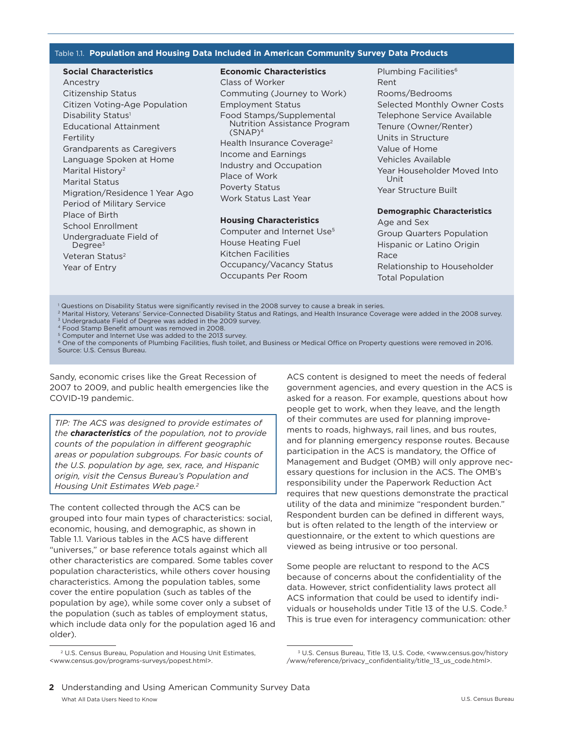#### Table 1.1. **Population and Housing Data Included in American Community Survey Data Products**

Ancestry **Class of Worker Rent** Rent Disability Status<sup>1</sup> Educational Attainment Fertility Grandparents as Caregivers Language Spoken at Home Marital History<sup>2</sup> Marital Status Migration/Residence 1 Year Ago Period of Military Service Place of Birth School Enrollment Undergraduate Field of Degree $3$ Veteran Status<sup>2</sup> Year of Entry **Network** Cocupancy/Vacancy Status

#### **Social Characteristics <b>Economic Characteristics** Plumbing Facilities<sup>6</sup>

Citizenship Status Commuting (Journey to Work) Rooms/Bedrooms Citizen Voting-Age Population Employment Status Selected Monthly Owner Costs Food Stamps/Supplemental Nutrition Assistance Program  $(SNAP)^4$ Health Insurance Coverage<sup>2</sup> Income and Earnings Industry and Occupation Place of Work Poverty Status Work Status Last Year

#### **Housing Characteristics**

Computer and Internet Use<sup>5</sup> House Heating Fuel Kitchen Facilities Occupants Per Room

Telephone Service Available Tenure (Owner/Renter) Units in Structure Value of Home Vehicles Available Year Householder Moved Into Unit Year Structure Built

#### **Demographic Characteristics**

Age and Sex Group Quarters Population Hispanic or Latino Origin Race Relationship to Householder Total Population

1 Questions on Disability Status were significantly revised in the 2008 survey to cause a break in series.

2 Marital History, Veterans' Service-Connected Disability Status and Ratings, and Health Insurance Coverage were added in the 2008 survey. <sup>3</sup> Undergraduate Field of Degree was added in the 2009 survey.

4 Food Stamp Benefit amount was removed in 2008.

5 Computer and Internet Use was added to the 2013 survey.

6 One of the components of Plumbing Facilities, flush toilet, and Business or Medical Office on Property questions were removed in 2016. Source: U.S. Census Bureau.

Sandy, economic crises like the Great Recession of 2007 to 2009, and public health emergencies like the COVID-19 pandemic.

*TIP: The ACS was designed to provide estimates of the characteristics of the population, not to provide counts of the population in different geographic areas or population subgroups. For basic counts of the U.S. population by age, sex, race, and Hispanic origin, visit the Census Bureau's Population and Housing Unit Estimates Web page.2*

The content collected through the ACS can be grouped into four main types of characteristics: social, economic, housing, and demographic, as shown in Table 1.1. Various tables in the ACS have different "universes," or base reference totals against which all other characteristics are compared. Some tables cover population characteristics, while others cover housing characteristics. Among the population tables, some cover the entire population (such as tables of the population by age), while some cover only a subset of the population (such as tables of employment status, which include data only for the population aged 16 and older).

ACS content is designed to meet the needs of federal government agencies, and every question in the ACS is asked for a reason. For example, questions about how people get to work, when they leave, and the length of their commutes are used for planning improvements to roads, highways, rail lines, and bus routes, and for planning emergency response routes. Because participation in the ACS is mandatory, the Office of Management and Budget (OMB) will only approve necessary questions for inclusion in the ACS. The OMB's responsibility under the Paperwork Reduction Act requires that new questions demonstrate the practical utility of the data and minimize "respondent burden." Respondent burden can be defined in different ways, but is often related to the length of the interview or questionnaire, or the extent to which questions are viewed as being intrusive or too personal.

Some people are reluctant to respond to the ACS because of concerns about the confidentiality of the data. However, strict confidentiality laws protect all ACS information that could be used to identify individuals or households under Title 13 of the U.S. Code.<sup>3</sup> This is true even for interagency communication: other

<sup>2</sup> U.S. Census Bureau, Population and Housing Unit Estimates, <www.census.gov/programs-surveys/popest.html>.

<sup>3</sup> U.S. Census Bureau, Title 13, U.S. Code, <www.census.gov/history /www/reference/privacy\_confidentiality/title\_13\_us\_code.html>.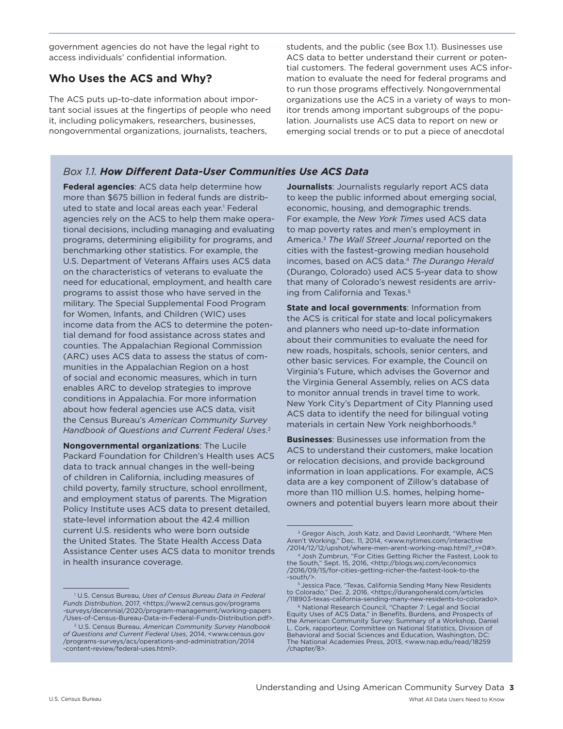government agencies do not have the legal right to access individuals' confidential information.

### **Who Uses the ACS and Why?**

The ACS puts up-to-date information about important social issues at the fingertips of people who need it, including policymakers, researchers, businesses, nongovernmental organizations, journalists, teachers,

students, and the public (see Box 1.1). Businesses use ACS data to better understand their current or potential customers. The federal government uses ACS information to evaluate the need for federal programs and to run those programs effectively. Nongovernmental organizations use the ACS in a variety of ways to monitor trends among important subgroups of the population. Journalists use ACS data to report on new or emerging social trends or to put a piece of anecdotal

### *Box 1.1. How Different Data-User Communities Use ACS Data*

**Federal agencies**: ACS data help determine how more than \$675 billion in federal funds are distributed to state and local areas each year.<sup>1</sup> Federal agencies rely on the ACS to help them make operational decisions, including managing and evaluating programs, determining eligibility for programs, and benchmarking other statistics. For example, the U.S. Department of Veterans Affairs uses ACS data on the characteristics of veterans to evaluate the need for educational, employment, and health care programs to assist those who have served in the military. The Special Supplemental Food Program for Women, Infants, and Children (WIC) uses income data from the ACS to determine the potential demand for food assistance across states and counties. The Appalachian Regional Commission (ARC) uses ACS data to assess the status of communities in the Appalachian Region on a host of social and economic measures, which in turn enables ARC to develop strategies to improve conditions in Appalachia. For more information about how federal agencies use ACS data, visit the Census Bureau's *American Community Survey Handbook of Questions and Current Federal Uses*. 2

**Nongovernmental organizations**: The Lucile Packard Foundation for Children's Health uses ACS data to track annual changes in the well-being of children in California, including measures of child poverty, family structure, school enrollment, and employment status of parents. The Migration Policy Institute uses ACS data to present detailed, state-level information about the 42.4 million current U.S. residents who were born outside the United States. The State Health Access Data Assistance Center uses ACS data to monitor trends in health insurance coverage.

1 U.S. Census Bureau, *Uses of Census Bureau Data in Federal Funds Distribution*, 2017, <https://www2.census.gov/programs -surveys/decennial/2020/program-management/working-papers /Uses-of-Census-Bureau-Data-in-Federal-Funds-Distribution.pdf>.

**Journalists**: Journalists regularly report ACS data to keep the public informed about emerging social, economic, housing, and demographic trends. For example, the *New York Times* used ACS data to map poverty rates and men's employment in America.3 *The Wall Street Journal* reported on the cities with the fastest-growing median household incomes, based on ACS data.4 *The Durango Herald* (Durango, Colorado) used ACS 5-year data to show that many of Colorado's newest residents are arriving from California and Texas.<sup>5</sup>

**State and local governments**: Information from the ACS is critical for state and local policymakers and planners who need up-to-date information about their communities to evaluate the need for new roads, hospitals, schools, senior centers, and other basic services. For example, the Council on Virginia's Future, which advises the Governor and the Virginia General Assembly, relies on ACS data to monitor annual trends in travel time to work. New York City's Department of City Planning used ACS data to identify the need for bilingual voting materials in certain New York neighborhoods.6

**Businesses**: Businesses use information from the ACS to understand their customers, make location or relocation decisions, and provide background information in loan applications. For example, ACS data are a key component of Zillow's database of more than 110 million U.S. homes, helping homeowners and potential buyers learn more about their

<sup>2</sup> U.S. Census Bureau, *American Community Survey Handbook of Questions and Current Federal Uses*, 2014, <www.census.gov /programs-surveys/acs/operations-and-administration/2014 -content-review/federal-uses.html>.

<sup>&</sup>lt;sup>3</sup> Gregor Aisch, Josh Katz, and David Leonhardt, "Where Men Aren't Working," Dec. 11, 2014, <www.nytimes.com/interactive<br>/2014/12/12/upshot/where-men-arent-working-map.html? r=0#>.

<sup>&</sup>lt;sup>4</sup> Josh Zumbrun, "For Cities Getting Richer the Fastest, Look to the South," Sept. 15, 2016, <http://blogs.wsj.com/economics /2016/09/15/for-cities-getting-richer-the-fastest-look-to-the

<sup>&</sup>lt;sup>5</sup> Jessica Pace, "Texas, California Sending Many New Residents to Colorado," Dec. 2, 2016, <https://durangoherald.com/articles /118903-texas-california-sending-many-new-residents-to-colorado>.

<sup>6</sup> National Research Council, "Chapter 7: Legal and Social Equity Uses of ACS Data," in Benefits, Burdens, and Prospects of the American Community Survey: Summary of a Workshop, Daniel L. Cork, rapporteur, Committee on National Statistics, Division of Behavioral and Social Sciences and Education, Washington, DC: The National Academies Press, 2013, <www.nap.edu/read/18259 /chapter/8>.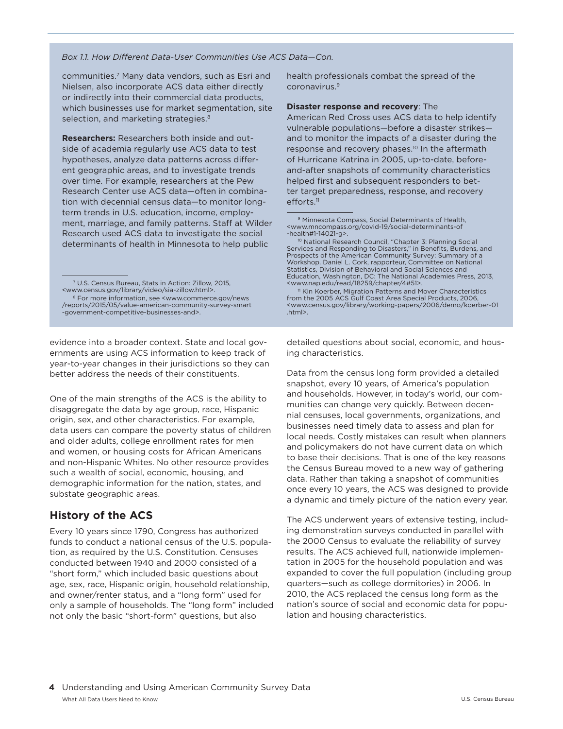#### *Box 1.1. How Different Data-User Communities Use ACS Data—Con.*

communities.7 Many data vendors, such as Esri and Nielsen, also incorporate ACS data either directly or indirectly into their commercial data products, which businesses use for market segmentation, site selection, and marketing strategies.<sup>8</sup>

**Researchers:** Researchers both inside and outside of academia regularly use ACS data to test hypotheses, analyze data patterns across different geographic areas, and to investigate trends over time. For example, researchers at the Pew Research Center use ACS data—often in combination with decennial census data—to monitor longterm trends in U.S. education, income, employment, marriage, and family patterns. Staff at Wilder Research used ACS data to investigate the social determinants of health in Minnesota to help public

7 U.S. Census Bureau, Stats in Action: Zillow, 2015, <www.census.gov/library/video/sia-zillow.html>.

8 For more information, see <www.commerce.gov/news /reports/2015/05/value-american-community-survey-smart -government-competitive-businesses-and>.

evidence into a broader context. State and local governments are using ACS information to keep track of year-to-year changes in their jurisdictions so they can better address the needs of their constituents.

One of the main strengths of the ACS is the ability to disaggregate the data by age group, race, Hispanic origin, sex, and other characteristics. For example, data users can compare the poverty status of children and older adults, college enrollment rates for men and women, or housing costs for African Americans and non-Hispanic Whites. No other resource provides such a wealth of social, economic, housing, and demographic information for the nation, states, and substate geographic areas.

### **History of the ACS**

Every 10 years since 1790, Congress has authorized funds to conduct a national census of the U.S. population, as required by the U.S. Constitution. Censuses conducted between 1940 and 2000 consisted of a "short form," which included basic questions about age, sex, race, Hispanic origin, household relationship, and owner/renter status, and a "long form" used for only a sample of households. The "long form" included not only the basic "short-form" questions, but also

health professionals combat the spread of the coronavirus.9

#### **Disaster response and recovery**: The

American Red Cross uses ACS data to help identify vulnerable populations—before a disaster strikes and to monitor the impacts of a disaster during the response and recovery phases.<sup>10</sup> In the aftermath of Hurricane Katrina in 2005, up-to-date, beforeand-after snapshots of community characteristics helped first and subsequent responders to better target preparedness, response, and recovery efforts.<sup>11</sup>

<sup>11</sup> Kin Koerber, Migration Patterns and Mover Characteristics from the 2005 ACS Gulf Coast Area Special Products, 2006, <www.census.gov/library/working-papers/2006/demo/koerber-01 .html>.

detailed questions about social, economic, and housing characteristics.

Data from the census long form provided a detailed snapshot, every 10 years, of America's population and households. However, in today's world, our communities can change very quickly. Between decennial censuses, local governments, organizations, and businesses need timely data to assess and plan for local needs. Costly mistakes can result when planners and policymakers do not have current data on which to base their decisions. That is one of the key reasons the Census Bureau moved to a new way of gathering data. Rather than taking a snapshot of communities once every 10 years, the ACS was designed to provide a dynamic and timely picture of the nation every year.

The ACS underwent years of extensive testing, including demonstration surveys conducted in parallel with the 2000 Census to evaluate the reliability of survey results. The ACS achieved full, nationwide implementation in 2005 for the household population and was expanded to cover the full population (including group quarters—such as college dormitories) in 2006. In 2010, the ACS replaced the census long form as the nation's source of social and economic data for population and housing characteristics.

<sup>&</sup>lt;sup>9</sup> Minnesota Compass, Social Determinants of Health, <www.mncompass.org/covid-19/social-determinants-of -health#1-14021-g>.

<sup>&</sup>lt;sup>10</sup> National Research Council, "Chapter 3: Planning Social Services and Responding to Disasters," in Benefits, Burdens, and Prospects of the American Community Survey: Summary of a Workshop. Daniel L. Cork, rapporteur, Committee on National Statistics, Division of Behavioral and Social Sciences and Education, Washington, DC: The National Academies Press, 2013,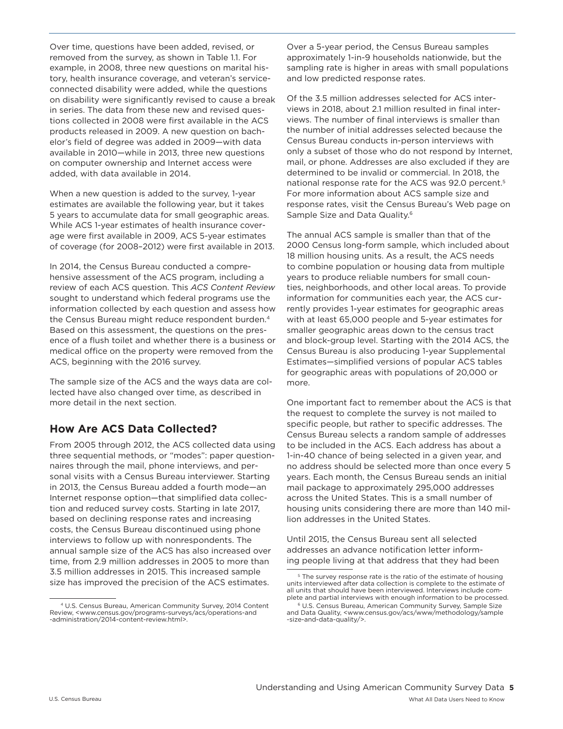Over time, questions have been added, revised, or removed from the survey, as shown in Table 1.1. For example, in 2008, three new questions on marital history, health insurance coverage, and veteran's serviceconnected disability were added, while the questions on disability were significantly revised to cause a break in series. The data from these new and revised questions collected in 2008 were first available in the ACS products released in 2009. A new question on bachelor's field of degree was added in 2009—with data available in 2010—while in 2013, three new questions on computer ownership and Internet access were added, with data available in 2014.

When a new question is added to the survey, 1-year estimates are available the following year, but it takes 5 years to accumulate data for small geographic areas. While ACS 1-year estimates of health insurance coverage were first available in 2009, ACS 5-year estimates of coverage (for 2008–2012) were first available in 2013.

In 2014, the Census Bureau conducted a comprehensive assessment of the ACS program, including a review of each ACS question. This *ACS Content Review* sought to understand which federal programs use the information collected by each question and assess how the Census Bureau might reduce respondent burden.<sup>4</sup> Based on this assessment, the questions on the presence of a flush toilet and whether there is a business or medical office on the property were removed from the ACS, beginning with the 2016 survey.

The sample size of the ACS and the ways data are collected have also changed over time, as described in more detail in the next section.

## **How Are ACS Data Collected?**

From 2005 through 2012, the ACS collected data using three sequential methods, or "modes": paper questionnaires through the mail, phone interviews, and personal visits with a Census Bureau interviewer. Starting in 2013, the Census Bureau added a fourth mode—an Internet response option—that simplified data collection and reduced survey costs. Starting in late 2017, based on declining response rates and increasing costs, the Census Bureau discontinued using phone interviews to follow up with nonrespondents. The annual sample size of the ACS has also increased over time, from 2.9 million addresses in 2005 to more than 3.5 million addresses in 2015. This increased sample size has improved the precision of the ACS estimates.

Over a 5-year period, the Census Bureau samples approximately 1-in-9 households nationwide, but the sampling rate is higher in areas with small populations and low predicted response rates.

Of the 3.5 million addresses selected for ACS interviews in 2018, about 2.1 million resulted in final interviews. The number of final interviews is smaller than the number of initial addresses selected because the Census Bureau conducts in-person interviews with only a subset of those who do not respond by Internet, mail, or phone. Addresses are also excluded if they are determined to be invalid or commercial. In 2018, the national response rate for the ACS was 92.0 percent.<sup>5</sup> For more information about ACS sample size and response rates, visit the Census Bureau's Web page on Sample Size and Data Quality.6

The annual ACS sample is smaller than that of the 2000 Census long-form sample, which included about 18 million housing units. As a result, the ACS needs to combine population or housing data from multiple years to produce reliable numbers for small counties, neighborhoods, and other local areas. To provide information for communities each year, the ACS currently provides 1-year estimates for geographic areas with at least 65,000 people and 5-year estimates for smaller geographic areas down to the census tract and block-group level. Starting with the 2014 ACS, the Census Bureau is also producing 1-year Supplemental Estimates—simplified versions of popular ACS tables for geographic areas with populations of 20,000 or more.

One important fact to remember about the ACS is that the request to complete the survey is not mailed to specific people, but rather to specific addresses. The Census Bureau selects a random sample of addresses to be included in the ACS. Each address has about a 1-in-40 chance of being selected in a given year, and no address should be selected more than once every 5 years. Each month, the Census Bureau sends an initial mail package to approximately 295,000 addresses across the United States. This is a small number of housing units considering there are more than 140 million addresses in the United States.

Until 2015, the Census Bureau sent all selected addresses an advance notification letter informing people living at that address that they had been

<sup>4</sup> U.S. Census Bureau, American Community Survey, 2014 Content Review, <www.census.gov/programs-surveys/acs/operations-and -administration/2014-content-review.html>.

<sup>&</sup>lt;sup>5</sup> The survey response rate is the ratio of the estimate of housing units interviewed after data collection is complete to the estimate of all units that should have been interviewed. Interviews include com-<br>plete and partial interviews with enough information to be processed.

 $6$  U.S. Census Bureau, American Community Survey, Sample Size and Data Quality, <www.census.gov/acs/www/methodology/sample -size-and-data-quality/>.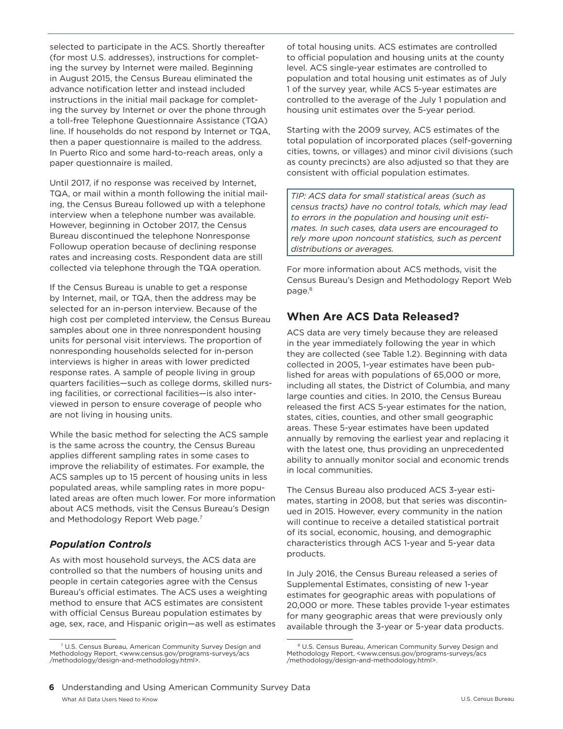selected to participate in the ACS. Shortly thereafter (for most U.S. addresses), instructions for completing the survey by Internet were mailed. Beginning in August 2015, the Census Bureau eliminated the advance notification letter and instead included instructions in the initial mail package for completing the survey by Internet or over the phone through a toll-free Telephone Questionnaire Assistance (TQA) line. If households do not respond by Internet or TQA, then a paper questionnaire is mailed to the address. In Puerto Rico and some hard-to-reach areas, only a paper questionnaire is mailed.

Until 2017, if no response was received by Internet, TQA, or mail within a month following the initial mailing, the Census Bureau followed up with a telephone interview when a telephone number was available. However, beginning in October 2017, the Census Bureau discontinued the telephone Nonresponse Followup operation because of declining response rates and increasing costs. Respondent data are still collected via telephone through the TQA operation.

If the Census Bureau is unable to get a response by Internet, mail, or TQA, then the address may be selected for an in-person interview. Because of the high cost per completed interview, the Census Bureau samples about one in three nonrespondent housing units for personal visit interviews. The proportion of nonresponding households selected for in-person interviews is higher in areas with lower predicted response rates. A sample of people living in group quarters facilities—such as college dorms, skilled nursing facilities, or correctional facilities—is also interviewed in person to ensure coverage of people who are not living in housing units.

While the basic method for selecting the ACS sample is the same across the country, the Census Bureau applies different sampling rates in some cases to improve the reliability of estimates. For example, the ACS samples up to 15 percent of housing units in less populated areas, while sampling rates in more populated areas are often much lower. For more information about ACS methods, visit the Census Bureau's Design and Methodology Report Web page.<sup>7</sup>

### *Population Controls*

As with most household surveys, the ACS data are controlled so that the numbers of housing units and people in certain categories agree with the Census Bureau's official estimates. The ACS uses a weighting method to ensure that ACS estimates are consistent with official Census Bureau population estimates by age, sex, race, and Hispanic origin—as well as estimates of total housing units. ACS estimates are controlled to official population and housing units at the county level. ACS single-year estimates are controlled to population and total housing unit estimates as of July 1 of the survey year, while ACS 5-year estimates are controlled to the average of the July 1 population and housing unit estimates over the 5-year period.

Starting with the 2009 survey, ACS estimates of the total population of incorporated places (self-governing cities, towns, or villages) and minor civil divisions (such as county precincts) are also adjusted so that they are consistent with official population estimates.

*TIP: ACS data for small statistical areas (such as census tracts) have no control totals, which may lead to errors in the population and housing unit estimates. In such cases, data users are encouraged to rely more upon noncount statistics, such as percent distributions or averages.*

For more information about ACS methods, visit the Census Bureau's Design and Methodology Report Web page.<sup>8</sup>

### **When Are ACS Data Released?**

ACS data are very timely because they are released in the year immediately following the year in which they are collected (see Table 1.2). Beginning with data collected in 2005, 1-year estimates have been published for areas with populations of 65,000 or more, including all states, the District of Columbia, and many large counties and cities. In 2010, the Census Bureau released the first ACS 5-year estimates for the nation, states, cities, counties, and other small geographic areas. These 5-year estimates have been updated annually by removing the earliest year and replacing it with the latest one, thus providing an unprecedented ability to annually monitor social and economic trends in local communities.

The Census Bureau also produced ACS 3-year estimates, starting in 2008, but that series was discontinued in 2015. However, every community in the nation will continue to receive a detailed statistical portrait of its social, economic, housing, and demographic characteristics through ACS 1-year and 5-year data products.

In July 2016, the Census Bureau released a series of Supplemental Estimates, consisting of new 1-year estimates for geographic areas with populations of 20,000 or more. These tables provide 1-year estimates for many geographic areas that were previously only available through the 3-year or 5-year data products.

<sup>7</sup> U.S. Census Bureau, American Community Survey Design and Methodology Report, <www.census.gov/programs-surveys/acs /methodology/design-and-methodology.html>.

<sup>8</sup> U.S. Census Bureau, American Community Survey Design and Methodology Report, <www.census.gov/programs-surveys/acs /methodology/design-and-methodology.html>.